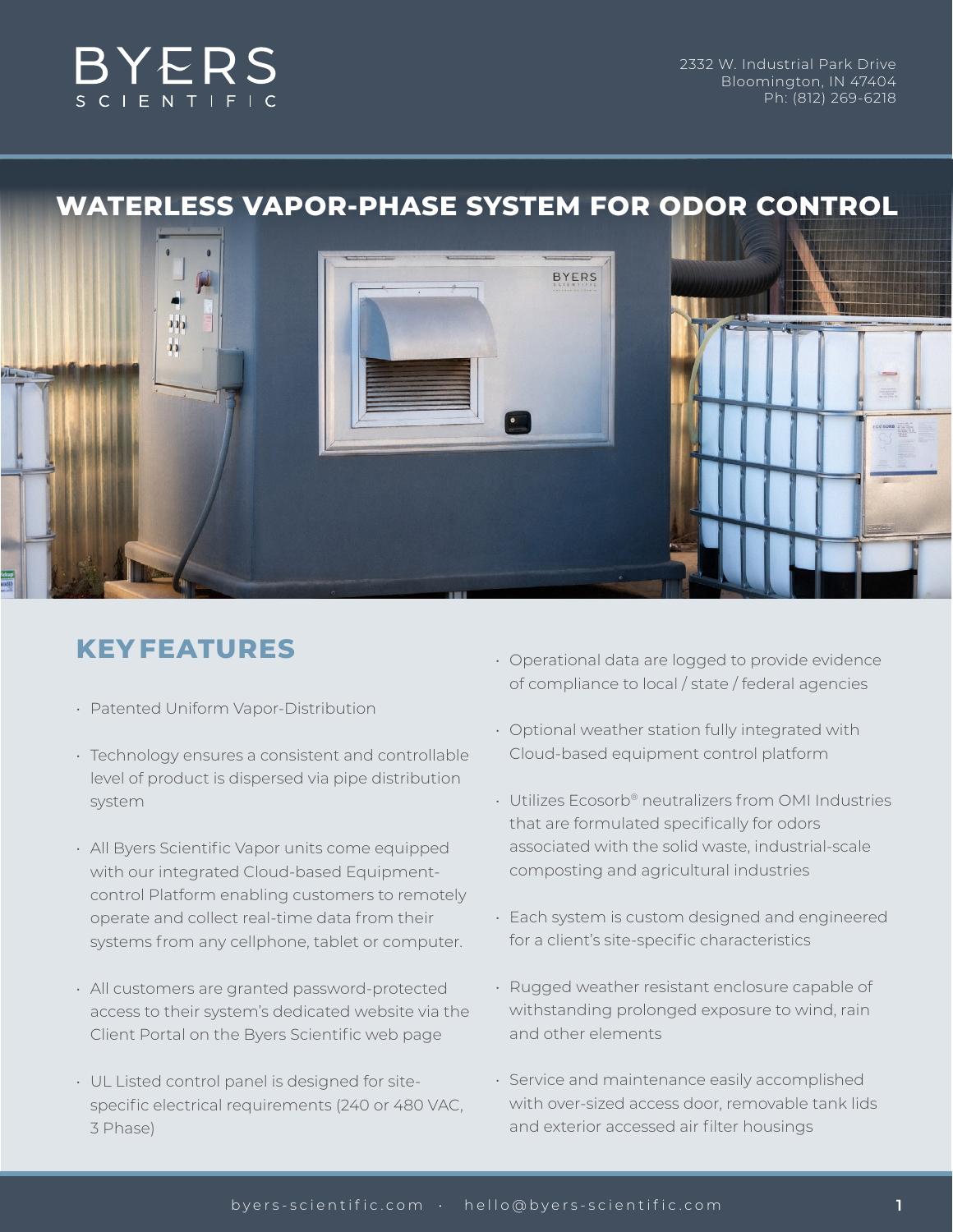

# **WATERLESS VAPOR-PHASE SYSTEM FOR ODOR CONTROL**



# **KEY FEATURES**

- Patented Uniform Vapor-Distribution
- Technology ensures a consistent and controllable level of product is dispersed via pipe distribution system
- All Byers Scientific Vapor units come equipped with our integrated Cloud-based Equipmentcontrol Platform enabling customers to remotely operate and collect real-time data from their systems from any cellphone, tablet or computer.
- All customers are granted password-protected access to their system's dedicated website via the Client Portal on the Byers Scientific web page
- UL Listed control panel is designed for sitespecific electrical requirements (240 or 480 VAC, 3 Phase)
- Operational data are logged to provide evidence of compliance to local / state / federal agencies
- Optional weather station fully integrated with Cloud-based equipment control platform
- Utilizes Ecosorb® neutralizers from OMI Industries that are formulated specifically for odors associated with the solid waste, industrial-scale composting and agricultural industries
- Each system is custom designed and engineered for a client's site-specific characteristics
- Rugged weather resistant enclosure capable of withstanding prolonged exposure to wind, rain and other elements
- Service and maintenance easily accomplished with over-sized access door, removable tank lids and exterior accessed air filter housings